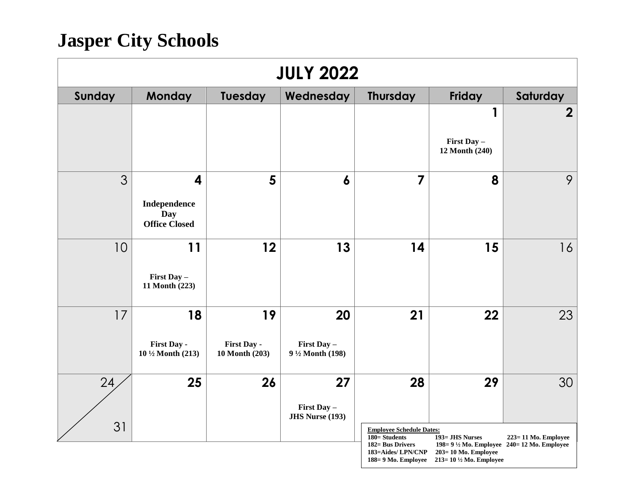| <b>JULY 2022</b> |                                                                        |                                     |                                             |                                                                               |                                                                                                                                          |                     |  |  |
|------------------|------------------------------------------------------------------------|-------------------------------------|---------------------------------------------|-------------------------------------------------------------------------------|------------------------------------------------------------------------------------------------------------------------------------------|---------------------|--|--|
| Sunday           | <b>Monday</b>                                                          | Tuesday                             | Wednesday                                   | <b>Thursday</b>                                                               | Friday                                                                                                                                   | Saturday            |  |  |
|                  |                                                                        |                                     |                                             |                                                                               | 1<br>First Day -<br>12 Month (240)                                                                                                       | $\overline{2}$      |  |  |
| 3                | $\overline{\mathbf{4}}$<br>Independence<br>Day<br><b>Office Closed</b> | 5                                   | 6                                           | 7                                                                             | 8                                                                                                                                        | 9                   |  |  |
| 10               | 11<br>First Day -<br>11 Month (223)                                    | 12                                  | 13                                          | 14                                                                            | 15                                                                                                                                       | 16                  |  |  |
| 17               | 18<br>First Day -<br>10 1/2 Month (213)                                | 19<br>First Day -<br>10 Month (203) | 20<br>First Day -<br>9 1/2 Month (198)      | 21                                                                            | 22                                                                                                                                       | 23                  |  |  |
| 24<br>31         | 25                                                                     | 26                                  | 27<br>First Day -<br><b>JHS Nurse (193)</b> | 28<br><b>Employee Schedule Dates:</b>                                         | 29                                                                                                                                       | 30                  |  |  |
|                  |                                                                        |                                     |                                             | 180= Students<br>182= Bus Drivers<br>183=Aides/ LPN/CNP<br>188=9 Mo. Employee | 193= JHS Nurses<br>198= $9\frac{1}{2}$ Mo. Employee 240= 12 Mo. Employee<br>$203 = 10$ Mo. Employee<br>213=10 $\frac{1}{2}$ Mo. Employee | 223=11 Mo. Employee |  |  |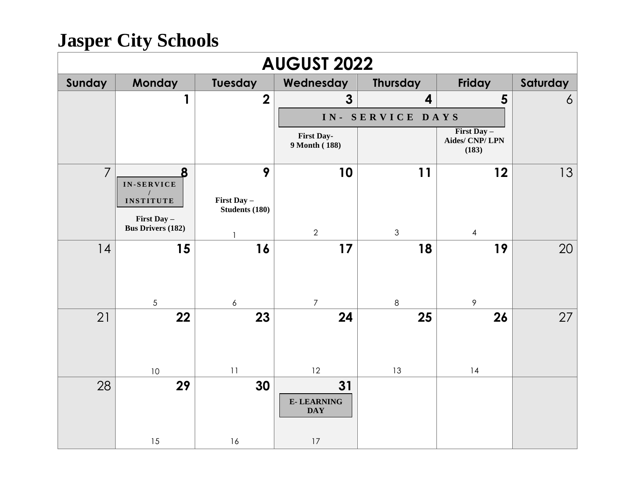| <b>AUGUST 2022</b> |                                         |                               |                                       |                  |                                           |                |  |  |
|--------------------|-----------------------------------------|-------------------------------|---------------------------------------|------------------|-------------------------------------------|----------------|--|--|
| Sunday             | <b>Monday</b>                           | Tuesday                       | Wednesday                             | Thursday         | Friday                                    | Saturday       |  |  |
|                    | 1                                       | $\boldsymbol{2}$              | $\overline{3}$                        | 4                | 5                                         | $\overline{6}$ |  |  |
|                    |                                         |                               |                                       | IN- SERVICE DAYS |                                           |                |  |  |
|                    |                                         |                               | <b>First Day-</b><br>9 Month (188)    |                  | First Day $-$<br>Aides/ CNP/ LPN<br>(183) |                |  |  |
| $\overline{7}$     | 8<br>IN-SERVICE                         | 9                             | 10                                    | 11               | 12                                        | 13             |  |  |
|                    | <b>INSTITUTE</b>                        | First Day -<br>Students (180) |                                       |                  |                                           |                |  |  |
|                    | First Day -<br><b>Bus Drivers (182)</b> |                               |                                       |                  |                                           |                |  |  |
|                    |                                         | 1                             | $\overline{2}$                        | $\mathfrak{Z}$   | $\overline{4}$                            |                |  |  |
| 14                 | 15                                      | 16                            | 17                                    | 18               | 19                                        | 20             |  |  |
|                    |                                         |                               |                                       |                  |                                           |                |  |  |
|                    | $\sqrt{5}$                              | $\boldsymbol{6}$              | $\overline{7}$                        | $\,8\,$          | 9                                         |                |  |  |
| 21                 | 22                                      | 23                            | 24                                    | 25               | 26                                        | 27             |  |  |
|                    |                                         |                               |                                       |                  |                                           |                |  |  |
|                    |                                         |                               |                                       |                  |                                           |                |  |  |
|                    | 10                                      | 11                            | 12                                    | 13               | 14                                        |                |  |  |
| 28                 | 29                                      | 30                            | 31<br><b>E-LEARNING</b><br><b>DAY</b> |                  |                                           |                |  |  |
|                    |                                         |                               |                                       |                  |                                           |                |  |  |
|                    | 15                                      | $16$                          | $17\,$                                |                  |                                           |                |  |  |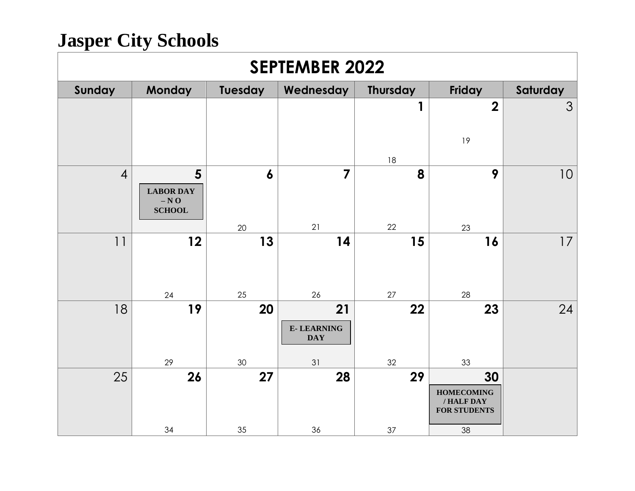| <b>SEPTEMBER 2022</b> |                                                   |                        |                                             |                 |                                                                    |          |  |  |
|-----------------------|---------------------------------------------------|------------------------|---------------------------------------------|-----------------|--------------------------------------------------------------------|----------|--|--|
| Sunday                | <b>Monday</b>                                     | Tuesday                | Wednesday                                   | <b>Thursday</b> | Friday                                                             | Saturday |  |  |
|                       |                                                   |                        |                                             | 1<br>18         | $\overline{\mathbf{2}}$<br>19                                      | 3        |  |  |
| $\overline{4}$        | 5<br><b>LABOR DAY</b><br>$- N O$<br><b>SCHOOL</b> | $\boldsymbol{6}$<br>20 | $\overline{7}$<br>21                        | 8<br>22         | 9<br>23                                                            | 10       |  |  |
| 11                    | 12<br>24                                          | 13<br>25               | 14<br>26                                    | 15<br>$27\,$    | 16<br>28                                                           | 17       |  |  |
| 18                    | 19<br>29                                          | 20<br>30               | 21<br><b>E-LEARNING</b><br><b>DAY</b><br>31 | 22<br>32        | 23<br>33                                                           | 24       |  |  |
| 25                    | 26<br>34                                          | 27<br>35               | 28<br>36                                    | 29<br>37        | 30<br><b>HOMECOMING</b><br>/ HALF DAY<br><b>FOR STUDENTS</b><br>38 |          |  |  |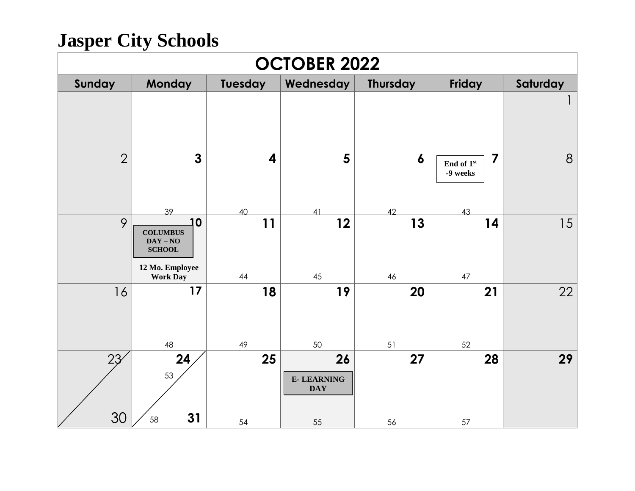| <b>OCTOBER 2022</b> |                                                                                            |                               |                                             |                        |                                                         |          |  |  |
|---------------------|--------------------------------------------------------------------------------------------|-------------------------------|---------------------------------------------|------------------------|---------------------------------------------------------|----------|--|--|
| Sunday              | <b>Monday</b>                                                                              | Tuesday                       | Wednesday                                   | <b>Thursday</b>        | Friday                                                  | Saturday |  |  |
|                     |                                                                                            |                               |                                             |                        |                                                         |          |  |  |
| $\overline{2}$      | $\mathbf{3}$<br>39                                                                         | $\overline{\mathbf{4}}$<br>40 | 5<br>41                                     | $\boldsymbol{6}$<br>42 | $\overline{\mathbf{z}}$<br>End of 1st<br>-9 weeks<br>43 | 8        |  |  |
| 9                   | 10<br><b>COLUMBUS</b><br>$DAY - NO$<br><b>SCHOOL</b><br>12 Mo. Employee<br><b>Work Day</b> | 11<br>44                      | 12<br>45                                    | 13<br>46               | 14<br>47                                                | 15       |  |  |
| 16                  | 17<br>48                                                                                   | 18<br>49                      | 19<br>50                                    | 20<br>51               | 21<br>52                                                | 22       |  |  |
| 23<br>30            | 24<br>53<br>31<br>58                                                                       | 25<br>54                      | 26<br><b>E-LEARNING</b><br><b>DAY</b><br>55 | 27<br>56               | 28<br>57                                                | 29       |  |  |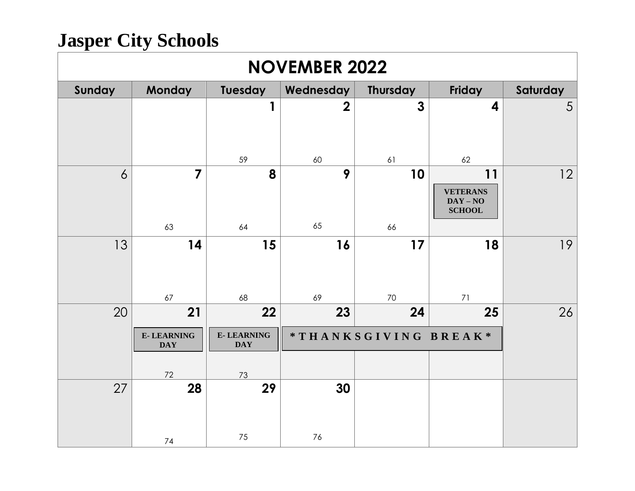| <b>NOVEMBER 2022</b> |                                       |                                       |                |                      |                                                      |          |  |  |
|----------------------|---------------------------------------|---------------------------------------|----------------|----------------------|------------------------------------------------------|----------|--|--|
| Sunday               | <b>Monday</b>                         | Tuesday                               | Wednesday      | Thursday             | Friday                                               | Saturday |  |  |
|                      |                                       | 1                                     | $\overline{2}$ | $\mathbf{3}$         | 4                                                    | 5        |  |  |
|                      |                                       | 59                                    | 60             | 61                   | 62                                                   |          |  |  |
| 6                    | $\overline{7}$                        | 8                                     | 9              | 10                   | 11<br><b>VETERANS</b><br>$DAY - NO$<br><b>SCHOOL</b> | 12       |  |  |
|                      | 63                                    | 64                                    | 65             | 66                   |                                                      |          |  |  |
| 13                   | 14<br>67                              | 15<br>68                              | 16<br>69       | 17<br>70             | 18<br>71                                             | 19       |  |  |
| 20                   | 21                                    | 22                                    | 23             | 24                   | 25                                                   | 26       |  |  |
|                      | <b>E-LEARNING</b><br><b>DAY</b><br>72 | <b>E-LEARNING</b><br><b>DAY</b><br>73 |                | *THANKSGIVING BREAK* |                                                      |          |  |  |
| 27                   | 28                                    | 29                                    | 30             |                      |                                                      |          |  |  |
|                      | 74                                    | 75                                    | 76             |                      |                                                      |          |  |  |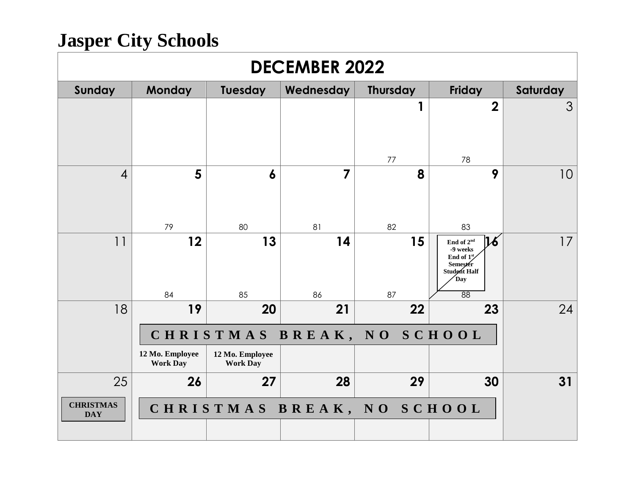| <b>DECEMBER 2022</b>           |                                    |                                    |           |                            |                                                                                                                            |                 |  |
|--------------------------------|------------------------------------|------------------------------------|-----------|----------------------------|----------------------------------------------------------------------------------------------------------------------------|-----------------|--|
| Sunday                         | <b>Monday</b>                      | Tuesday                            | Wednesday | <b>Thursday</b>            | <b>Friday</b>                                                                                                              | Saturday        |  |
|                                |                                    |                                    |           | 77                         | $\overline{2}$<br>78                                                                                                       | 3               |  |
| $\overline{4}$                 | 5<br>79                            | 6<br>80                            | 7<br>81   | 8<br>82                    | 9<br>83                                                                                                                    | 10 <sup>°</sup> |  |
| 11                             | 12<br>84                           | 13<br>85                           | 14<br>86  | 15<br>87                   | 16<br>End of 2 <sup>nd</sup><br>$-9$ weeks<br>End of $1^{\text{st}}$<br>Semester<br>Student Half<br>Day<br>$\overline{88}$ | 17              |  |
| 18                             | 19                                 | 20                                 | 21        | 22                         | 23                                                                                                                         | 24              |  |
| CHRISTMAS BREAK, NO SCHOOL     |                                    |                                    |           |                            |                                                                                                                            |                 |  |
|                                | 12 Mo. Employee<br><b>Work Day</b> | 12 Mo. Employee<br><b>Work Day</b> |           |                            |                                                                                                                            |                 |  |
| 25                             | 26                                 | 27                                 | 28        | 29                         | 30                                                                                                                         | 31              |  |
| <b>CHRISTMAS</b><br><b>DAY</b> |                                    |                                    |           | CHRISTMAS BREAK, NO SCHOOL |                                                                                                                            |                 |  |
|                                |                                    |                                    |           |                            |                                                                                                                            |                 |  |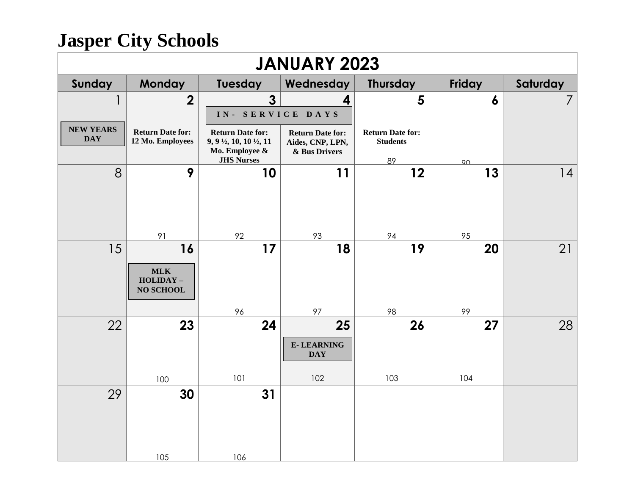| <b>JANUARY 2023</b>            |                                               |                                                                           |                                             |                                            |                  |          |  |  |
|--------------------------------|-----------------------------------------------|---------------------------------------------------------------------------|---------------------------------------------|--------------------------------------------|------------------|----------|--|--|
| Sunday                         | <b>Monday</b>                                 | Tuesday                                                                   | Wednesday                                   | <b>Thursday</b>                            | Friday           | Saturday |  |  |
| 1<br>L                         | $\overline{2}$                                | $\mathbf{3}$                                                              | 4                                           | 5                                          | $\boldsymbol{6}$ | 7        |  |  |
|                                |                                               | IN- SERVICE DAYS                                                          |                                             |                                            |                  |          |  |  |
| <b>NEW YEARS</b><br><b>DAY</b> | <b>Return Date for:</b><br>12 Mo. Employees   | <b>Return Date for:</b><br>9, 9 $\frac{1}{2}$ , 10, 10 $\frac{1}{2}$ , 11 | <b>Return Date for:</b><br>Aides, CNP, LPN, | <b>Return Date for:</b><br><b>Students</b> |                  |          |  |  |
|                                |                                               | Mo. Employee &<br><b>JHS Nurses</b>                                       | & Bus Drivers                               | 89                                         | $90 -$           |          |  |  |
| 8                              | 9                                             | 10                                                                        | 11                                          | 12                                         | 13               | 4        |  |  |
|                                | 91                                            | 92                                                                        | 93                                          | 94                                         | 95               |          |  |  |
| 15                             | 16                                            | 17                                                                        | 18                                          | 19                                         | 20               | 21       |  |  |
|                                | <b>MLK</b><br>$HOLIDAY -$<br><b>NO SCHOOL</b> |                                                                           |                                             |                                            |                  |          |  |  |
|                                |                                               | 96                                                                        | 97                                          | 98                                         | 99               |          |  |  |
| 22                             | 23                                            | 24                                                                        | 25                                          | 26                                         | 27               | 28       |  |  |
|                                |                                               |                                                                           | <b>E-LEARNING</b><br><b>DAY</b>             |                                            |                  |          |  |  |
|                                | 100                                           | 101                                                                       | 102                                         | 103                                        | 104              |          |  |  |
| 29                             | 30                                            | 31                                                                        |                                             |                                            |                  |          |  |  |
|                                | 105                                           | 106                                                                       |                                             |                                            |                  |          |  |  |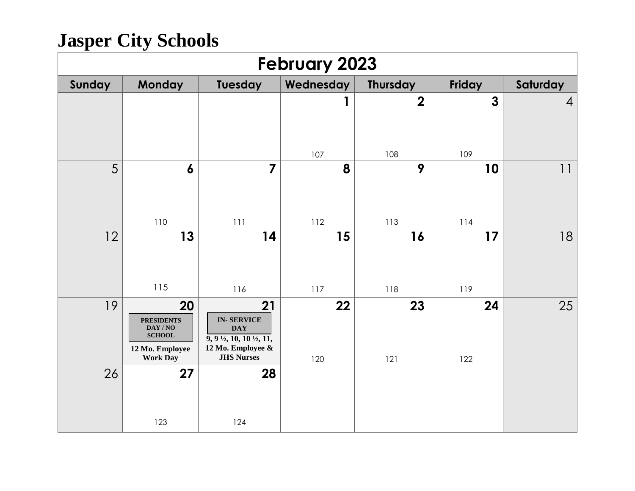| <b>February 2023</b> |                                                                                                                   |                                                                                                                                        |             |                 |              |                |  |
|----------------------|-------------------------------------------------------------------------------------------------------------------|----------------------------------------------------------------------------------------------------------------------------------------|-------------|-----------------|--------------|----------------|--|
| Sunday               | <b>Monday</b>                                                                                                     | Tuesday                                                                                                                                | Wednesday   | <b>Thursday</b> | Friday       | Saturday       |  |
|                      |                                                                                                                   |                                                                                                                                        | 1           | $\overline{2}$  | $\mathbf{3}$ | $\overline{A}$ |  |
|                      |                                                                                                                   |                                                                                                                                        | 107         | 108             | 109          |                |  |
| 5                    | $\boldsymbol{6}$                                                                                                  | $\overline{7}$                                                                                                                         | 8           | 9               | 10           | 11             |  |
|                      | 110                                                                                                               | 111                                                                                                                                    | 112         | 113             | 114          |                |  |
| 12                   | 13<br>115                                                                                                         | 14<br>116                                                                                                                              | 15<br>$117$ | 16<br>118       | 17<br>119    | 18             |  |
| 19                   | 20<br><b>PRESIDENTS</b><br>$\mathbf{DAY}$ / $\mathbf{NO}$<br>${\bf SCHOOL}$<br>12 Mo. Employee<br><b>Work Day</b> | 21<br><b>IN-SERVICE</b><br><b>DAY</b><br>$\overline{9, 9\frac{1}{2}, 10, 10\frac{1}{2}, 11}$<br>12 Mo. Employee &<br><b>JHS Nurses</b> | 22<br>120   | 23<br>121       | 24<br>122    | 25             |  |
| 26                   | 27<br>123                                                                                                         | 28<br>124                                                                                                                              |             |                 |              |                |  |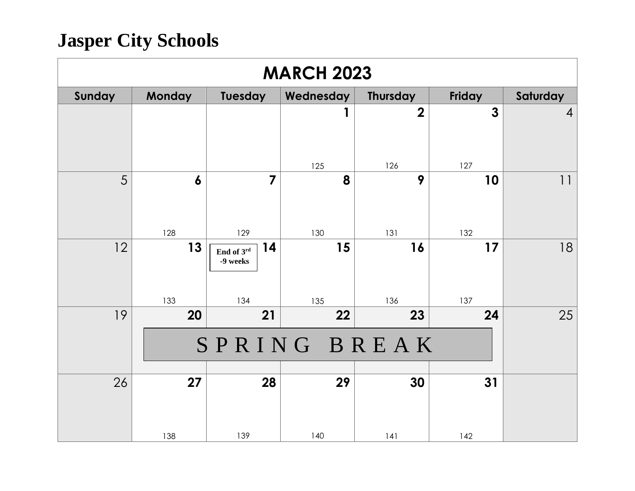| <b>MARCH 2023</b> |                  |                                     |           |                 |               |                |  |  |
|-------------------|------------------|-------------------------------------|-----------|-----------------|---------------|----------------|--|--|
| Sunday            | <b>Monday</b>    | Tuesday                             | Wednesday | <b>Thursday</b> | <b>Friday</b> | Saturday       |  |  |
|                   |                  |                                     | 1         | $\overline{2}$  | $\mathbf{3}$  | $\overline{4}$ |  |  |
|                   |                  |                                     | 125       | 126             | 127           |                |  |  |
| 5                 | $\boldsymbol{6}$ | $\overline{7}$                      | 8         | 9               | 10            | 11             |  |  |
|                   | 128              | 129                                 | 130       | 131             | 132           |                |  |  |
| 12                | 13<br>133        | 14<br>End of 3rd<br>-9 weeks<br>134 | 15<br>135 | 16<br>136       | 17<br>137     | 18             |  |  |
| 19                | 20               | 21                                  | 22        | 23              | 24            | 25             |  |  |
|                   | SPRING BREAK     |                                     |           |                 |               |                |  |  |
| 26                | 27<br>138        | 28<br>139                           | 29<br>140 | 30<br>141       | 31<br>142     |                |  |  |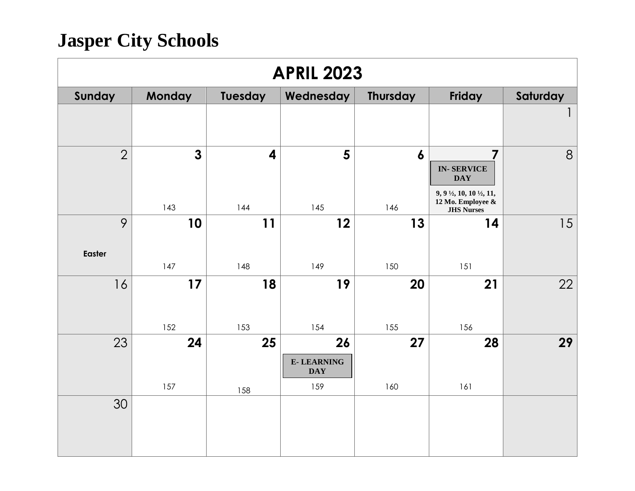| <b>APRIL 2023</b> |                     |                                |                                       |                         |                                                                                                             |          |  |  |
|-------------------|---------------------|--------------------------------|---------------------------------------|-------------------------|-------------------------------------------------------------------------------------------------------------|----------|--|--|
| Sunday            | <b>Monday</b>       | Tuesday                        | Wednesday                             | <b>Thursday</b>         | Friday                                                                                                      | Saturday |  |  |
|                   |                     |                                |                                       |                         |                                                                                                             |          |  |  |
| $\overline{2}$    | $\mathbf{3}$<br>143 | $\overline{\mathbf{4}}$<br>144 | 5<br>145                              | $\boldsymbol{6}$<br>146 | 7<br><b>IN-SERVICE</b><br><b>DAY</b><br>9, 9 1/2, 10, 10 1/2, 11,<br>12 Mo. Employee &<br><b>JHS Nurses</b> | 8        |  |  |
| 9                 | 10                  | 11                             | 12                                    | 13                      | 14                                                                                                          | 15       |  |  |
| Easter            | 147                 | 148                            | 149                                   | 150                     | 151                                                                                                         |          |  |  |
| 16                | 17                  | 18                             | 19                                    | 20                      | 21                                                                                                          | 22       |  |  |
|                   | 152                 | 153                            | 154                                   | 155                     | 156                                                                                                         |          |  |  |
| 23                | 24                  | 25                             | 26<br><b>E-LEARNING</b><br><b>DAY</b> | 27                      | 28                                                                                                          | 29       |  |  |
|                   | 157                 | 158                            | 159                                   | 160                     | 161                                                                                                         |          |  |  |
| 30                |                     |                                |                                       |                         |                                                                                                             |          |  |  |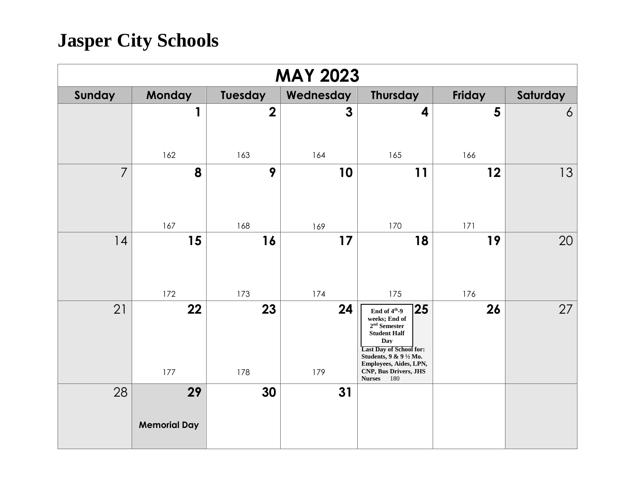| <b>MAY 2023</b> |                           |                  |              |                                                                                                                                                                                                                                    |           |          |  |  |
|-----------------|---------------------------|------------------|--------------|------------------------------------------------------------------------------------------------------------------------------------------------------------------------------------------------------------------------------------|-----------|----------|--|--|
| Sunday          | <b>Monday</b>             | Tuesday          | Wednesday    | Thursday                                                                                                                                                                                                                           | Friday    | Saturday |  |  |
|                 | 1                         | $\boldsymbol{2}$ | $\mathbf{3}$ | 4                                                                                                                                                                                                                                  | 5         | 6        |  |  |
|                 | 162                       | 163              | 164          | 165                                                                                                                                                                                                                                | 166       |          |  |  |
| $\overline{7}$  | 8                         | 9                | 10           | 11                                                                                                                                                                                                                                 | 12        | 13       |  |  |
|                 | 167                       | 168              | 169          | 170                                                                                                                                                                                                                                | 171       |          |  |  |
| 4               | 15<br>172                 | 16<br>173        | 17<br>174    | 18<br>175                                                                                                                                                                                                                          | 19<br>176 | 20       |  |  |
| 21              | 22<br>177                 | 23<br>178        | 24<br>179    | 25 <br>End of $4^{\rm th}\hbox{-}9$<br>weeks; End of<br>$2nd$ Semester<br><b>Student Half</b><br>Day<br><b>Last Day of School for:</b><br>Students, 9 & 9 1/2 Mo.<br>Employees, Aides, LPN,<br>CNP, Bus Drivers, JHS<br>Nurses 180 | 26        | 27       |  |  |
| 28              | 29<br><b>Memorial Day</b> | 30               | 31           |                                                                                                                                                                                                                                    |           |          |  |  |